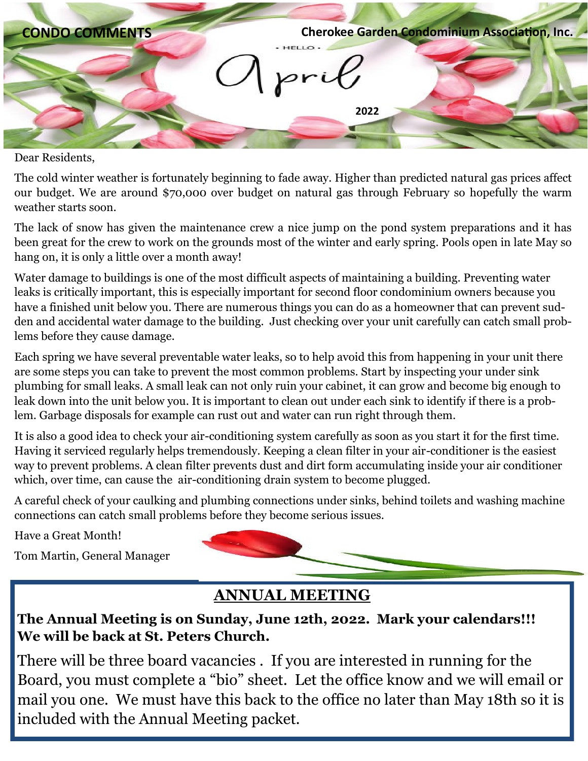

Dear Residents,

The cold winter weather is fortunately beginning to fade away. Higher than predicted natural gas prices affect our budget. We are around \$70,000 over budget on natural gas through February so hopefully the warm weather starts soon.

The lack of snow has given the maintenance crew a nice jump on the pond system preparations and it has been great for the crew to work on the grounds most of the winter and early spring. Pools open in late May so hang on, it is only a little over a month away!

Water damage to buildings is one of the most difficult aspects of maintaining a building. Preventing water leaks is critically important, this is especially important for second floor condominium owners because you have a finished unit below you. There are numerous things you can do as a homeowner that can prevent sudden and accidental water damage to the building. Just checking over your unit carefully can catch small problems before they cause damage.

Each spring we have several preventable water leaks, so to help avoid this from happening in your unit there are some steps you can take to prevent the most common problems. Start by inspecting your under sink plumbing for small leaks. A small leak can not only ruin your cabinet, it can grow and become big enough to leak down into the unit below you. It is important to clean out under each sink to identify if there is a problem. Garbage disposals for example can rust out and water can run right through them.

It is also a good idea to check your air-conditioning system carefully as soon as you start it for the first time. Having it serviced regularly helps tremendously. Keeping a clean filter in your air-conditioner is the easiest way to prevent problems. A clean filter prevents dust and dirt form accumulating inside your air conditioner which, over time, can cause the air-conditioning drain system to become plugged.

A careful check of your caulking and plumbing connections under sinks, behind toilets and washing machine connections can catch small problems before they become serious issues.

Have a Great Month!

Tom Martin, General Manager



## **ANNUAL MEETING**

### **The Annual Meeting is on Sunday, June 12th, 2022. Mark your calendars!!! We will be back at St. Peters Church.**

There will be three board vacancies . If you are interested in running for the Board, you must complete a "bio" sheet. Let the office know and we will email or mail you one. We must have this back to the office no later than May 18th so it is included with the Annual Meeting packet.